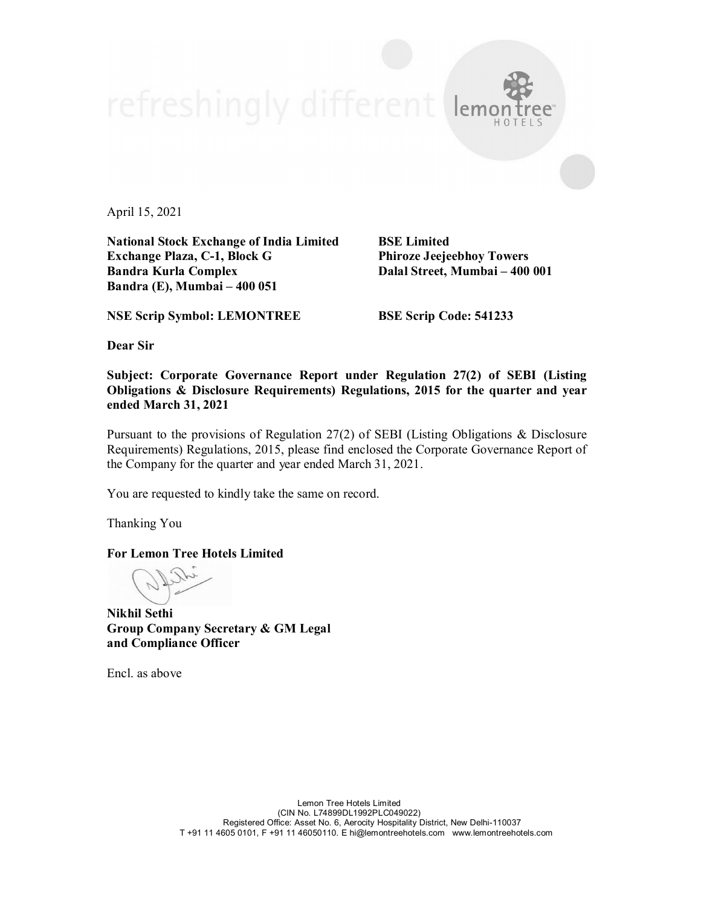April 15, 2021

**National Stock Exchange of India Limited BSE Limited Exchange Plaza, C-1, Block G Phiroze Jeejeebhoy Towers Bandra Kurla Complex Dalal Street, Mumbai – 400 001 Bandra (E), Mumbai – 400 051**

lemo

**NSE Scrip Symbol: LEMONTREE BSE Scrip Code: 541233**

**Dear Sir**

**Subject: Corporate Governance Report under Regulation 27(2) of SEBI (Listing Obligations & Disclosure Requirements) Regulations, 2015 for the quarter and year ended March 31, 2021**

Pursuant to the provisions of Regulation 27(2) of SEBI (Listing Obligations & Disclosure Requirements) Regulations, 2015, please find enclosed the Corporate Governance Report of the Company for the quarter and year ended March 31, 2021.

You are requested to kindly take the same on record.

Thanking You

**For Lemon Tree Hotels Limited**

**Nikhil Sethi Group Company Secretary & GM Legal and Compliance Officer**

Encl. as above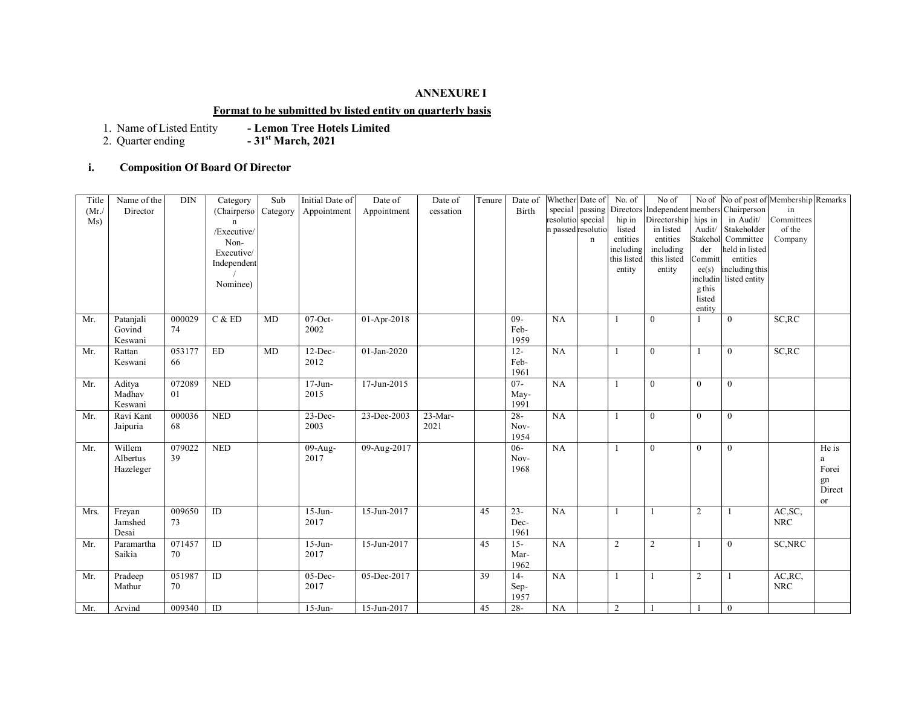### **ANNEXURE I**

#### **Format to be submitted by listed entity on quarterly basis**

2. Quarter ending **- 31st March, 2021**

**- Lemon Tree Hotels Limited<br><b>- 31st March, 2021** 

# **i. Composition Of Board Of Director**

| Title | Name of the | DIN    | Category       | Sub      | Initial Date of | Date of     | Date of   | Tenure | Date of | Whether Date of    |                 | No. of         | No of                                     |                | No of No of post of Membership Remarks |               |        |
|-------|-------------|--------|----------------|----------|-----------------|-------------|-----------|--------|---------|--------------------|-----------------|----------------|-------------------------------------------|----------------|----------------------------------------|---------------|--------|
| (Mr)  | Director    |        | (Chairperso)   | Category | Appointment     | Appointment | cessation |        | Birth   |                    | special passing |                | Directors Independent members Chairperson |                |                                        | in            |        |
| Ms)   |             |        | $\mathsf{n}$   |          |                 |             |           |        |         | resolutio special  |                 | hip in         | Directorship                              | hips in        | in Audit/                              | Committees    |        |
|       |             |        | /Executive/    |          |                 |             |           |        |         | n passed resolutic |                 | listed         | in listed                                 | Audit/         | Stakeholder                            | of the        |        |
|       |             |        | Non-           |          |                 |             |           |        |         |                    | $\mathbf n$     | entities       | entities                                  | Stakehol       | Committee                              | Company       |        |
|       |             |        | Executive/     |          |                 |             |           |        |         |                    |                 | including      | including                                 | der            | held in listed                         |               |        |
|       |             |        | Independent    |          |                 |             |           |        |         |                    |                 | this listed    | this listed                               | Committ        | entities                               |               |        |
|       |             |        |                |          |                 |             |           |        |         |                    |                 | entity         | entity                                    | ee(s)          | including this                         |               |        |
|       |             |        | Nominee)       |          |                 |             |           |        |         |                    |                 |                |                                           | includin       | listed entity                          |               |        |
|       |             |        |                |          |                 |             |           |        |         |                    |                 |                |                                           | gthis          |                                        |               |        |
|       |             |        |                |          |                 |             |           |        |         |                    |                 |                |                                           | listed         |                                        |               |        |
| Mr.   | Patanjali   | 000029 | C & ED         | MD       | $07$ -Oct-      | 01-Apr-2018 |           |        | $09 -$  | <b>NA</b>          |                 |                | $\mathbf{0}$                              | entity         | $\overline{0}$                         | SC, RC        |        |
|       | Govind      |        |                |          | 2002            |             |           |        |         |                    |                 |                |                                           |                |                                        |               |        |
|       |             | 74     |                |          |                 |             |           |        | Feb-    |                    |                 |                |                                           |                |                                        |               |        |
|       | Keswani     |        |                |          |                 |             |           |        | 1959    |                    |                 |                |                                           |                |                                        |               |        |
| Mr.   | Rattan      | 053177 | ${\rm ED}$     | MD       | $12$ -Dec-      | 01-Jan-2020 |           |        | $12 -$  | NA                 |                 |                | $\mathbf{0}$                              |                | $\mathbf{0}$                           | SC, RC        |        |
|       | Keswani     | 66     |                |          | 2012            |             |           |        | Feb-    |                    |                 |                |                                           |                |                                        |               |        |
|       |             |        |                |          |                 |             |           |        | 1961    |                    |                 |                |                                           |                |                                        |               |        |
| Mr.   | Aditya      | 072089 | <b>NED</b>     |          | $17 - Jun -$    | 17-Jun-2015 |           |        | $07 -$  | NA                 |                 |                | $\theta$                                  | $\overline{0}$ | $\mathbf{0}$                           |               |        |
|       | Madhav      | 01     |                |          | 2015            |             |           |        | May-    |                    |                 |                |                                           |                |                                        |               |        |
|       | Keswani     |        |                |          |                 |             |           |        | 1991    |                    |                 |                |                                           |                |                                        |               |        |
| Mr.   | Ravi Kant   | 000036 | <b>NED</b>     |          | $23$ -Dec-      | 23-Dec-2003 | $23-Mar-$ |        | $28 -$  | NA                 |                 |                | $\mathbf{0}$                              | $\mathbf{0}$   | $\mathbf{0}$                           |               |        |
|       | Jaipuria    | 68     |                |          | 2003            |             | 2021      |        | Nov-    |                    |                 |                |                                           |                |                                        |               |        |
|       |             |        |                |          |                 |             |           |        | 1954    |                    |                 |                |                                           |                |                                        |               |        |
| Mr.   | Willem      | 079022 | <b>NED</b>     |          | 09-Aug-         | 09-Aug-2017 |           |        | $06 -$  | NA                 |                 |                | $\overline{0}$                            | $\mathbf{0}$   | $\overline{0}$                         |               | He is  |
|       | Albertus    | 39     |                |          | 2017            |             |           |        | Nov-    |                    |                 |                |                                           |                |                                        |               | a      |
|       | Hazeleger   |        |                |          |                 |             |           |        | 1968    |                    |                 |                |                                           |                |                                        |               | Forei  |
|       |             |        |                |          |                 |             |           |        |         |                    |                 |                |                                           |                |                                        |               | gn     |
|       |             |        |                |          |                 |             |           |        |         |                    |                 |                |                                           |                |                                        |               | Direct |
|       |             |        |                |          |                 |             |           |        |         |                    |                 |                |                                           |                |                                        |               | or     |
| Mrs.  | Freyan      | 009650 | $\overline{D}$ |          | $15$ -Jun-      | 15-Jun-2017 |           | 45     | $23 -$  | NA                 |                 |                |                                           | 2              |                                        | AC, SC,       |        |
|       | Jamshed     | 73     |                |          | 2017            |             |           |        | Dec-    |                    |                 |                |                                           |                |                                        | <b>NRC</b>    |        |
|       | Desai       |        |                |          |                 |             |           |        | 1961    |                    |                 |                |                                           |                |                                        |               |        |
| Mr.   | Paramartha  | 071457 | ID             |          | $15$ -Jun-      | 15-Jun-2017 |           | 45     | $15 -$  | NA                 |                 | $\overline{2}$ | $\overline{2}$                            |                | $\overline{0}$                         | <b>SC,NRC</b> |        |
|       | Saikia      | 70     |                |          | 2017            |             |           |        | Mar-    |                    |                 |                |                                           |                |                                        |               |        |
|       |             |        |                |          |                 |             |           |        | 1962    |                    |                 |                |                                           |                |                                        |               |        |
| Mr.   | Pradeep     | 051987 | ID             |          | 05-Dec-         | 05-Dec-2017 |           | 39     | $14-$   | NA                 |                 |                |                                           | 2              |                                        | AC, RC,       |        |
|       | Mathur      | 70     |                |          | 2017            |             |           |        | Sep-    |                    |                 |                |                                           |                |                                        | <b>NRC</b>    |        |
|       |             |        |                |          |                 |             |           |        | 1957    |                    |                 |                |                                           |                |                                        |               |        |
| Mr.   | Arvind      | 009340 | ID             |          | $15$ -Jun-      | 15-Jun-2017 |           | 45     | $28 -$  | <b>NA</b>          |                 | $\overline{c}$ |                                           |                | $\mathbf{0}$                           |               |        |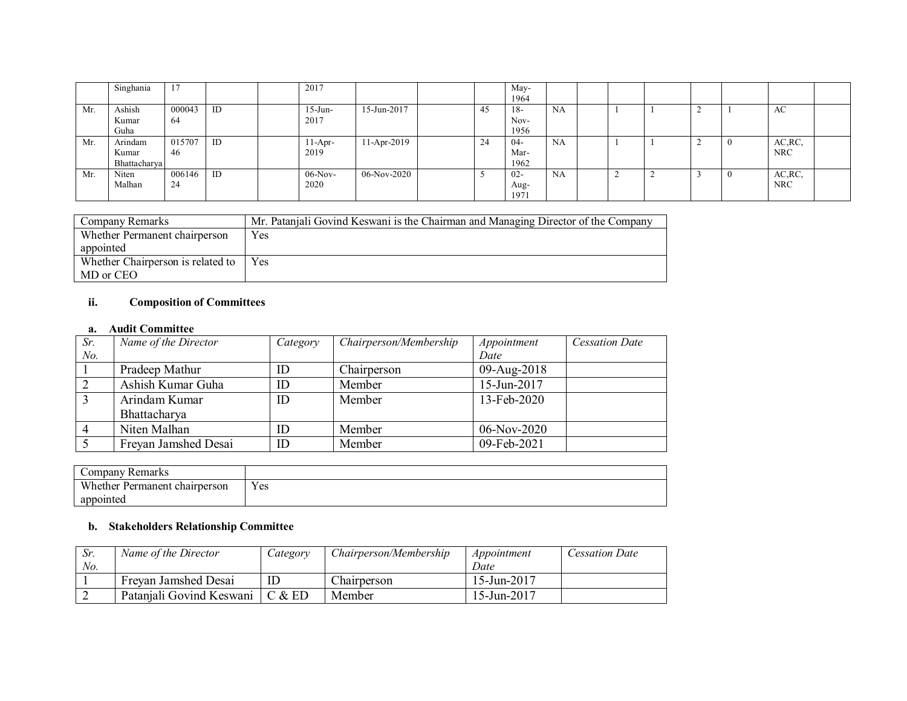|     | Singhania    | -17    |    | 2017       |             |    | May-   |    |  |   |   |            |  |
|-----|--------------|--------|----|------------|-------------|----|--------|----|--|---|---|------------|--|
|     |              |        |    |            |             |    | 1964   |    |  |   |   |            |  |
| Mr. | Ashish       | 000043 | ID | $15$ -Jun- | 15-Jun-2017 | 45 | 18-    | NA |  |   | ∸ | AC         |  |
|     | Kumar        | -64    |    | 2017       |             |    | Nov-   |    |  |   |   |            |  |
|     | Guha         |        |    |            |             |    | 1956   |    |  |   |   |            |  |
| Mr. | Arindam      | 015707 | ID | $11-Apr-$  | 11-Apr-2019 | 24 | $04-$  | NA |  |   | ∠ | AC, RC     |  |
|     | Kumar        | 46     |    | 2019       |             |    | Mar-   |    |  |   |   | <b>NRC</b> |  |
|     | Bhattacharya |        |    |            |             |    | 1962   |    |  |   |   |            |  |
| Mr. | Niten        | 006146 | ID | $06-Nov-$  | 06-Nov-2020 |    | $02 -$ | NA |  | ∸ |   | AC, RC,    |  |
|     | Malhan       | 24     |    | 2020       |             |    | Aug-   |    |  |   |   | <b>NRC</b> |  |
|     |              |        |    |            |             |    | 1971   |    |  |   |   |            |  |

| Company Remarks                   | Mr. Patanjali Govind Keswani is the Chairman and Managing Director of the Company |
|-----------------------------------|-----------------------------------------------------------------------------------|
| Whether Permanent chairperson     | Yes                                                                               |
| appointed                         |                                                                                   |
| Whether Chairperson is related to | <b>Yes</b>                                                                        |
| MD or CEO                         |                                                                                   |

#### **ii. Composition of Committees**

#### **a. Audit Committee**

| Sr. | Name of the Director | Category | Chairperson/Membership | Appointment | <b>Cessation Date</b> |
|-----|----------------------|----------|------------------------|-------------|-----------------------|
| No. |                      |          |                        | Date        |                       |
|     | Pradeep Mathur       | ID       | Chairperson            | 09-Aug-2018 |                       |
|     | Ashish Kumar Guha    | ID       | Member                 | 15-Jun-2017 |                       |
|     | Arindam Kumar        | ID       | Member                 | 13-Feb-2020 |                       |
|     | Bhattacharya         |          |                        |             |                       |
|     | Niten Malhan         | ID       | Member                 | 06-Nov-2020 |                       |
|     | Freyan Jamshed Desai | ID       | Member                 | 09-Feb-2021 |                       |

| Company Remarks               |     |
|-------------------------------|-----|
| Whether Permanent chairperson | Yes |
| appointed                     |     |

# **b. Stakeholders Relationship Committee**

| Sr. | Name of the Director     | Category | Chairperson/Membership | Appointment | Cessation Date |
|-----|--------------------------|----------|------------------------|-------------|----------------|
| No. |                          |          |                        | Date        |                |
|     | Freyan Jamshed Desai     |          | Chairperson            | 15-Jun-2017 |                |
|     | Patanjali Govind Keswani | C & E D  | Member                 | 15-Jun-2017 |                |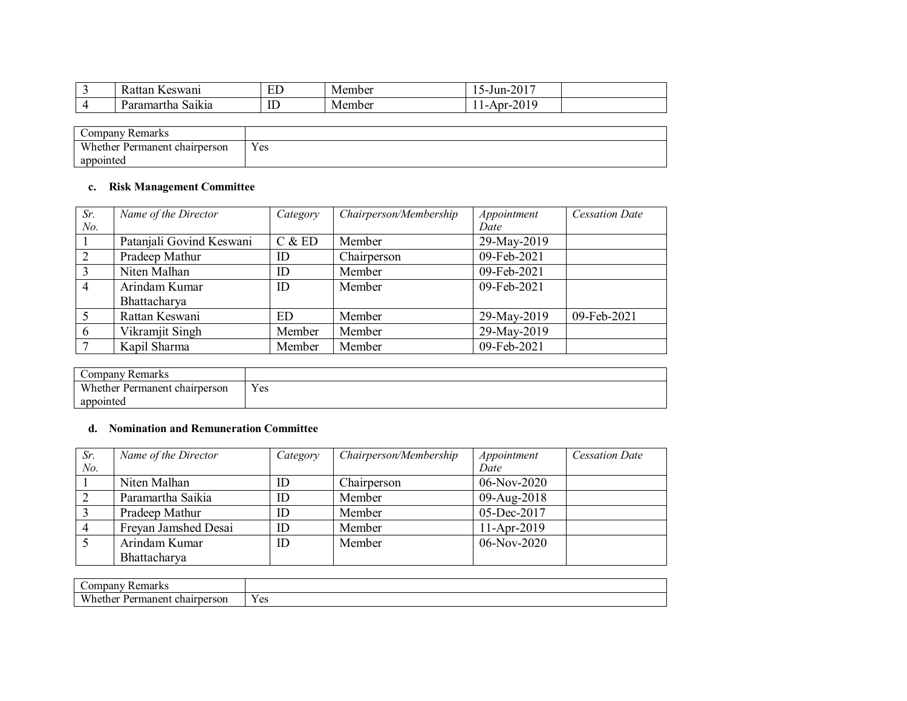| $-$<br>D<br>eswani<br>-Kattan                     | ED | Member | 2017<br>-<br>$\sim$ -Jun- $\sim$<br>'−∠∪⊥ |
|---------------------------------------------------|----|--------|-------------------------------------------|
| $\bullet$ $\bullet$<br>Saikia<br>'aramartha<br>பீ | ID | Member | 2010<br>$ADI^{-1}$<br>-40 L.<br>. .       |

| $\mathcal{L}$ ompany<br>' Remarks |     |
|-----------------------------------|-----|
| Whether Permanent chairperson     | Yes |
| appointed                         |     |

# **c. Risk Management Committee**

| Sr.            | Name of the Director     | Category | Chairperson/Membership | Appointment | <b>Cessation Date</b> |
|----------------|--------------------------|----------|------------------------|-------------|-----------------------|
| No.            |                          |          |                        | Date        |                       |
|                | Patanjali Govind Keswani | C & E D  | Member                 | 29-May-2019 |                       |
| 2              | Pradeep Mathur           | ID       | Chairperson            | 09-Feb-2021 |                       |
| $\overline{3}$ | Niten Malhan             | ID       | Member                 | 09-Feb-2021 |                       |
| $\overline{4}$ | Arindam Kumar            | ID       | Member                 | 09-Feb-2021 |                       |
|                | Bhattacharya             |          |                        |             |                       |
| 5              | Rattan Keswani           | ED       | Member                 | 29-May-2019 | 09-Feb-2021           |
| 6              | Vikramjit Singh          | Member   | Member                 | 29-May-2019 |                       |
|                | Kapil Sharma             | Member   | Member                 | 09-Feb-2021 |                       |

| Company Remarks               |     |
|-------------------------------|-----|
| Whether Permanent chairperson | Yes |
| appointed                     |     |

# **d. Nomination and Remuneration Committee**

**I** 

| Sr. | Name of the Director | Category | Chairperson/Membership | Appointment   | <b>Cessation Date</b> |
|-----|----------------------|----------|------------------------|---------------|-----------------------|
| No. |                      |          |                        | Date          |                       |
|     | Niten Malhan         | ID       | Chairperson            | 06-Nov-2020   |                       |
|     | Paramartha Saikia    | ID       | Member                 | 09-Aug-2018   |                       |
|     | Pradeep Mathur       | ID       | Member                 | 05-Dec-2017   |                       |
|     | Freyan Jamshed Desai | ID       | Member                 | $11-Apr-2019$ |                       |
|     | Arindam Kumar        | ID       | Member                 | $06-Nov-2020$ |                       |
|     | Bhattacharya         |          |                        |               |                       |

| 'emarks<br>$\mathcal{L}^{\text{OM}^r}$<br>ıpar |                          |
|------------------------------------------------|--------------------------|
| Wheth.                                         |                          |
| hairperson:                                    | $\overline{\phantom{a}}$ |
| .ner                                           | $\lambda$                |
| manen                                          | $\alpha$                 |
| Dari                                           | ັບ                       |
| .                                              |                          |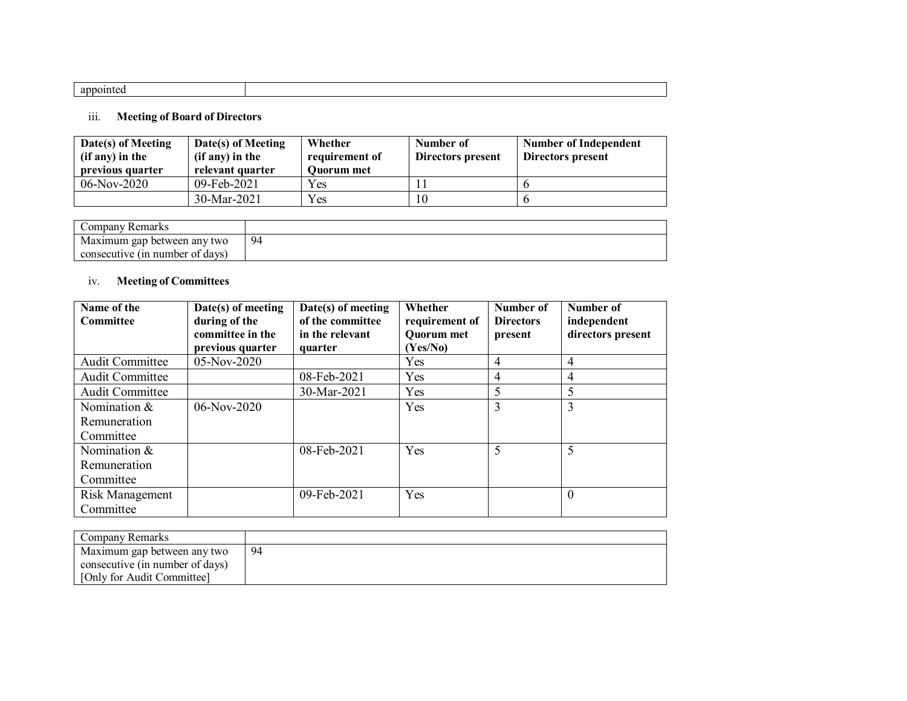# iii. **Meeting of Board of Directors**

| Date(s) of Meeting<br>(if any) in the<br>previous quarter | Date(s) of Meeting<br>(if any) in the<br>relevant quarter | Whether<br>requirement of<br><b>Ouorum</b> met | Number of<br>Directors present | <b>Number of Independent</b><br>Directors present |
|-----------------------------------------------------------|-----------------------------------------------------------|------------------------------------------------|--------------------------------|---------------------------------------------------|
| $06$ -Nov-2020                                            | 09-Feb-2021                                               | <b>Yes</b>                                     |                                |                                                   |
|                                                           | $30-Mar-2021$                                             | Yes                                            | 10                             |                                                   |

| Company Remarks                 |    |
|---------------------------------|----|
| Maximum gap between any two     | 94 |
| consecutive (in number of days) |    |

# iv. **Meeting of Committees**

| Name of the            | $Date(s)$ of meeting | Date(s) of meeting | Whether        | Number of        | Number of         |
|------------------------|----------------------|--------------------|----------------|------------------|-------------------|
| <b>Committee</b>       | during of the        | of the committee   | requirement of | <b>Directors</b> | independent       |
|                        | committee in the     | in the relevant    | Quorum met     | present          | directors present |
|                        | previous quarter     | quarter            | (Yes/No)       |                  |                   |
| <b>Audit Committee</b> | 05-Nov-2020          |                    | Yes            | 4                | 4                 |
| <b>Audit Committee</b> |                      | 08-Feb-2021        | Yes            | 4                | 4                 |
| <b>Audit Committee</b> |                      | 30-Mar-2021        | Yes            | 5                | 5                 |
| Nomination &           | $06-Nov-2020$        |                    | Yes            | 3                | 3                 |
| Remuneration           |                      |                    |                |                  |                   |
| Committee              |                      |                    |                |                  |                   |
| Nomination &           |                      | 08-Feb-2021        | Yes            | 5                | 5                 |
| Remuneration           |                      |                    |                |                  |                   |
| Committee              |                      |                    |                |                  |                   |
| Risk Management        |                      | 09-Feb-2021        | Yes            |                  | $\overline{0}$    |
| Committee              |                      |                    |                |                  |                   |

| Company Remarks                 |     |
|---------------------------------|-----|
| Maximum gap between any two     | -94 |
| consecutive (in number of days) |     |
| [Only for Audit Committee]      |     |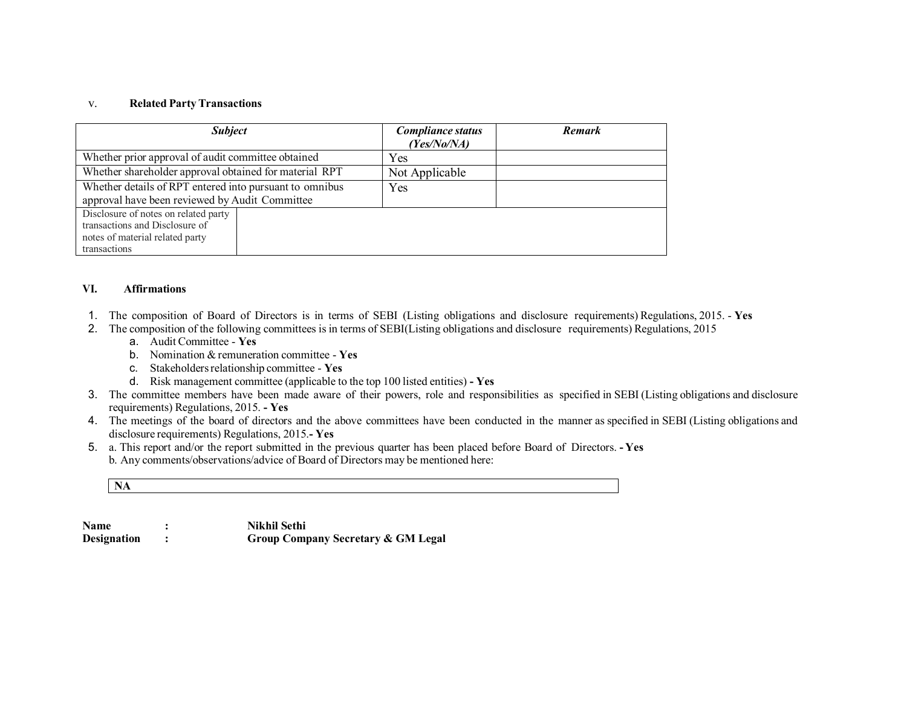#### v. **Related PartyTransactions**

| <b>Subject</b>                                                                                                            | <b>Compliance status</b><br>(Yes/No/NA) | <b>Remark</b> |
|---------------------------------------------------------------------------------------------------------------------------|-----------------------------------------|---------------|
| Whether prior approval of audit committee obtained                                                                        | Yes                                     |               |
| Whether shareholder approval obtained for material RPT                                                                    | Not Applicable                          |               |
| Whether details of RPT entered into pursuant to omnibus<br>approval have been reviewed by Audit Committee                 | <b>Yes</b>                              |               |
| Disclosure of notes on related party<br>transactions and Disclosure of<br>notes of material related party<br>transactions |                                         |               |

#### **VI. Affirmations**

- 1. The composition of Board of Directors is in terms of SEBI (Listing obligations and disclosure requirements) Regulations, 2015. **Yes**
- 2. The composition of the following committees is in terms of SEBI(Listing obligations and disclosure requirements) Regulations, 2015
	- a. Audit Committee **Yes**
	- b. Nomination &remuneration committee **Yes**
	- c. Stakeholdersrelationship committee **Yes**
	- d. Risk management committee (applicable to the top 100 listed entities) **- Yes**
- 3. The committee members have been made aware of their powers, role and responsibilities as specified in SEBI (Listing obligations and disclosure requirements) Regulations, 2015. **- Yes**
- 4. The meetings of the board of directors and the above committees have been conducted in the manner as specified in SEBI (Listing obligations and disclosure requirements) Regulations, 2015.**- Yes**
- 5. a. This report and/or the report submitted in the previous quarter has been placed before Board of Directors. **- Yes** b. Any comments/observations/advice of Board of Directors may be mentioned here:

**NA**

**Name : Nikhil Sethi Designation : Group Company Secretary & GM Legal**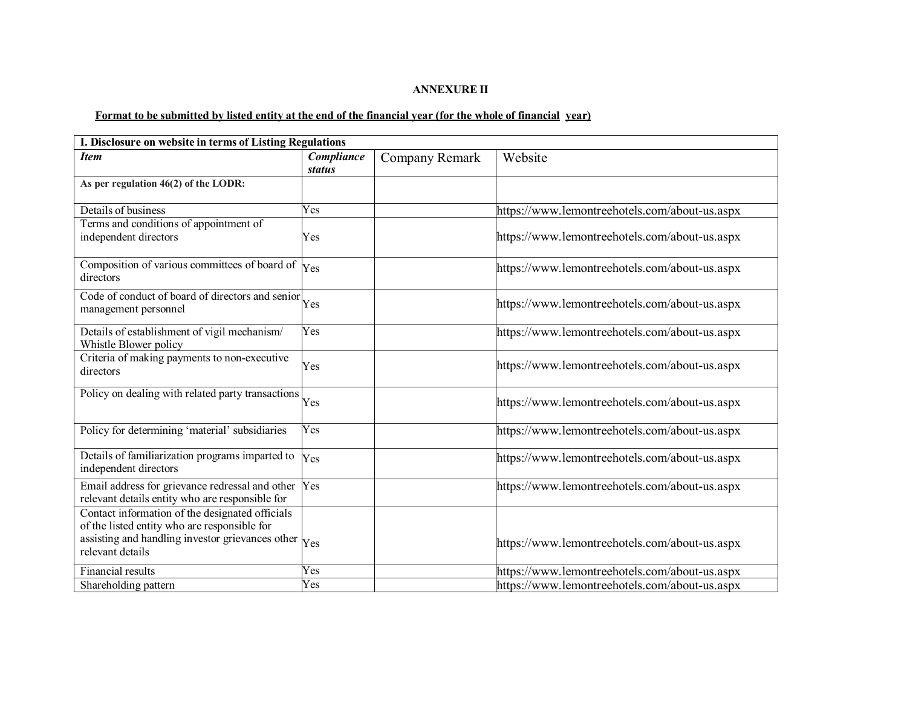#### **ANNEXURE II**

# Format to be submitted by listed entity at the end of the financial year (for the whole of financial year)

| I. Disclosure on website in terms of Listing Regulations                                                                                                                                     |                             |                |                                               |  |
|----------------------------------------------------------------------------------------------------------------------------------------------------------------------------------------------|-----------------------------|----------------|-----------------------------------------------|--|
| <b>Item</b>                                                                                                                                                                                  | Compliance<br><b>status</b> | Company Remark | Website                                       |  |
| As per regulation 46(2) of the LODR:                                                                                                                                                         |                             |                |                                               |  |
| Details of business                                                                                                                                                                          | Yes                         |                | https://www.lemontreehotels.com/about-us.aspx |  |
| Terms and conditions of appointment of<br>independent directors                                                                                                                              | Yes                         |                | https://www.lemontreehotels.com/about-us.aspx |  |
| Composition of various committees of board of<br>directors                                                                                                                                   | Yes                         |                | https://www.lemontreehotels.com/about-us.aspx |  |
| Code of conduct of board of directors and senior<br>management personnel                                                                                                                     | Yes                         |                | https://www.lemontreehotels.com/about-us.aspx |  |
| Details of establishment of vigil mechanism/<br>Whistle Blower policy                                                                                                                        | Yes                         |                | https://www.lemontreehotels.com/about-us.aspx |  |
| Criteria of making payments to non-executive<br>directors                                                                                                                                    | Yes                         |                | https://www.lemontreehotels.com/about-us.aspx |  |
| Policy on dealing with related party transactions                                                                                                                                            | Yes                         |                | https://www.lemontreehotels.com/about-us.aspx |  |
| Policy for determining 'material' subsidiaries                                                                                                                                               | Yes                         |                | https://www.lemontreehotels.com/about-us.aspx |  |
| Details of familiarization programs imparted to<br>independent directors                                                                                                                     | Yes                         |                | https://www.lemontreehotels.com/about-us.aspx |  |
| Email address for grievance redressal and other<br>relevant details entity who are responsible for                                                                                           | Yes                         |                | https://www.lemontreehotels.com/about-us.aspx |  |
| Contact information of the designated officials<br>of the listed entity who are responsible for<br>assisting and handling investor grievances other $\vert_{\text{Yes}}$<br>relevant details |                             |                | https://www.lemontreehotels.com/about-us.aspx |  |
| Financial results                                                                                                                                                                            | Yes                         |                | https://www.lemontreehotels.com/about-us.aspx |  |
| Shareholding pattern                                                                                                                                                                         | Yes                         |                | https://www.lemontreehotels.com/about-us.aspx |  |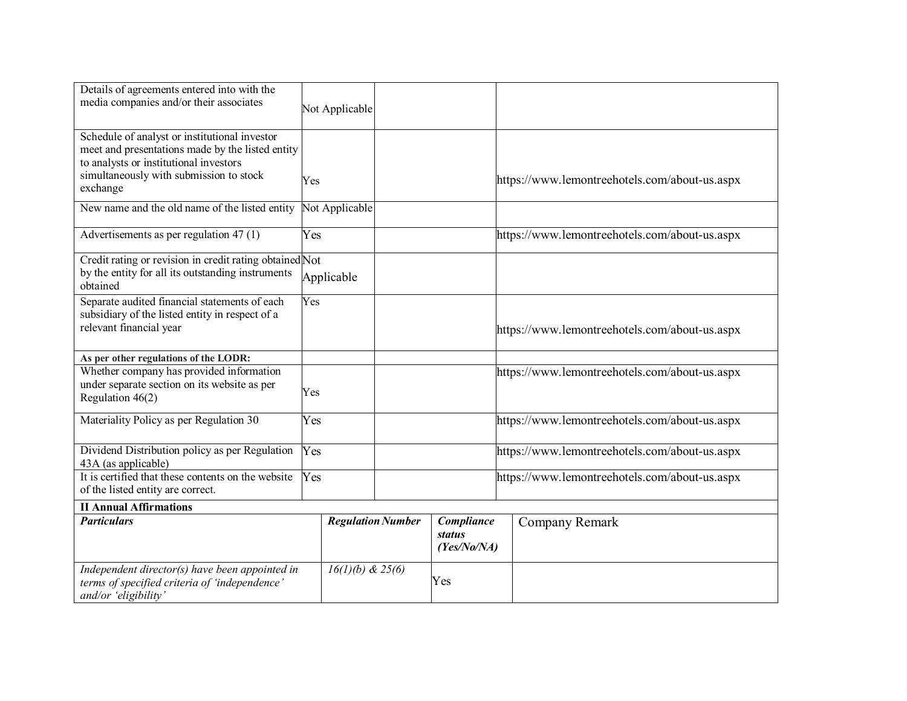| Details of agreements entered into with the<br>media companies and/or their associates                                                                                                             |     | Not Applicable           |  |                                            |                                               |  |
|----------------------------------------------------------------------------------------------------------------------------------------------------------------------------------------------------|-----|--------------------------|--|--------------------------------------------|-----------------------------------------------|--|
| Schedule of analyst or institutional investor<br>meet and presentations made by the listed entity<br>to analysts or institutional investors<br>simultaneously with submission to stock<br>exchange | Yes |                          |  |                                            | https://www.lemontreehotels.com/about-us.aspx |  |
| New name and the old name of the listed entity                                                                                                                                                     |     | Not Applicable           |  |                                            |                                               |  |
| Advertisements as per regulation 47 (1)                                                                                                                                                            | Yes |                          |  |                                            | https://www.lemontreehotels.com/about-us.aspx |  |
| Credit rating or revision in credit rating obtained Not<br>by the entity for all its outstanding instruments<br>obtained                                                                           |     | Applicable               |  |                                            |                                               |  |
| Separate audited financial statements of each<br>subsidiary of the listed entity in respect of a<br>relevant financial year                                                                        | Yes |                          |  |                                            | https://www.lemontreehotels.com/about-us.aspx |  |
| As per other regulations of the LODR:                                                                                                                                                              |     |                          |  |                                            |                                               |  |
| Whether company has provided information<br>under separate section on its website as per<br>Regulation 46(2)                                                                                       | Yes |                          |  |                                            | https://www.lemontreehotels.com/about-us.aspx |  |
| Materiality Policy as per Regulation 30                                                                                                                                                            | Yes |                          |  |                                            | https://www.lemontreehotels.com/about-us.aspx |  |
| Dividend Distribution policy as per Regulation<br>43A (as applicable)                                                                                                                              | Yes |                          |  |                                            | https://www.lemontreehotels.com/about-us.aspx |  |
| It is certified that these contents on the website<br>of the listed entity are correct.                                                                                                            | Yes |                          |  |                                            | https://www.lemontreehotels.com/about-us.aspx |  |
| <b>II Annual Affirmations</b>                                                                                                                                                                      |     |                          |  |                                            |                                               |  |
| <b>Particulars</b>                                                                                                                                                                                 |     | <b>Regulation Number</b> |  | Compliance<br><b>status</b><br>(Yes/No/NA) | Company Remark                                |  |
| Independent director(s) have been appointed in<br>terms of specified criteria of 'independence'<br>and/or 'eligibility'                                                                            |     | $16(1)(b) \& 25(6)$      |  | Yes                                        |                                               |  |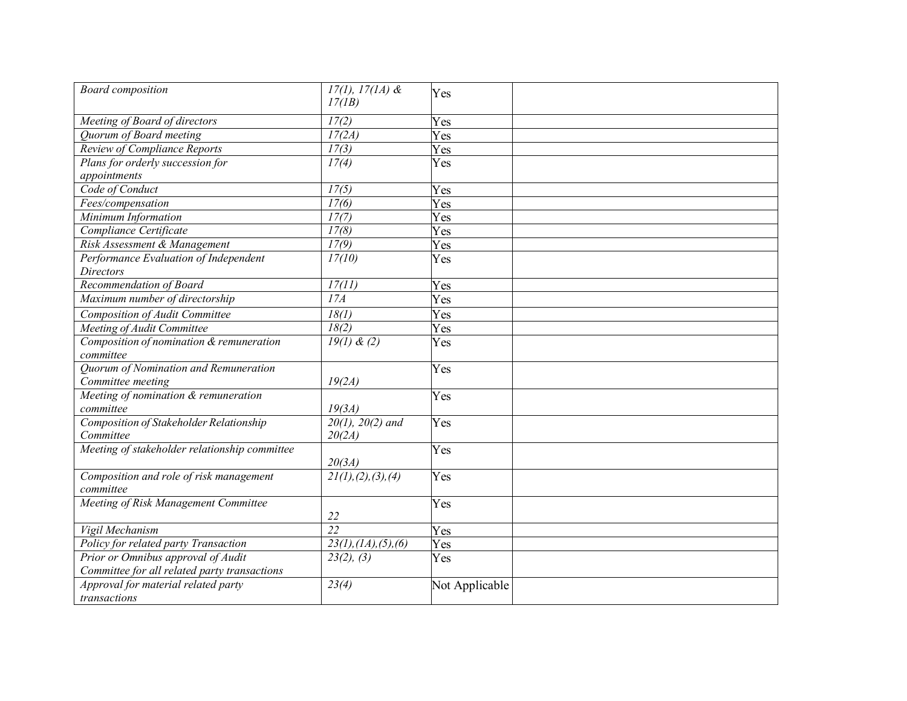| <b>Board</b> composition                      | $17(1), 17(1A)$ &     | Yes            |
|-----------------------------------------------|-----------------------|----------------|
|                                               | 17(1B)                |                |
| Meeting of Board of directors                 | 17(2)                 | Yes            |
| Quorum of Board meeting                       | 17(2A)                | Yes            |
| Review of Compliance Reports                  | 17(3)                 | Yes            |
| Plans for orderly succession for              | 17(4)                 | Yes            |
| appointments                                  |                       |                |
| Code of Conduct                               | 17(5)                 | Yes            |
| Fees/compensation                             | 17(6)                 | Yes            |
| Minimum Information                           | 17(7)                 | Yes            |
| Compliance Certificate                        | 17(8)                 | Yes            |
| Risk Assessment & Management                  | 17(9)                 | Yes            |
| Performance Evaluation of Independent         | 17(10)                | Yes            |
| <b>Directors</b>                              |                       |                |
| Recommendation of Board                       | 17(11)                | Yes            |
| Maximum number of directorship                | $\overline{174}$      | Yes            |
| Composition of Audit Committee                | 18(1)                 | Yes            |
| Meeting of Audit Committee                    | 18(2)                 | Yes            |
| Composition of nomination & remuneration      | 19(1) & (2)           | Yes            |
| committee                                     |                       |                |
| Quorum of Nomination and Remuneration         |                       | Yes            |
| Committee meeting                             | 19(2A)                |                |
| Meeting of nomination & remuneration          |                       | Yes            |
| committee                                     | 19(3A)                |                |
| Composition of Stakeholder Relationship       | $20(1), 20(2)$ and    | Yes            |
| Committee                                     | 20(2A)                |                |
| Meeting of stakeholder relationship committee |                       | Yes            |
|                                               | 20(3A)                |                |
| Composition and role of risk management       | 21(1), (2), (3), (4)  | Yes            |
| committee                                     |                       |                |
| Meeting of Risk Management Committee          |                       | Yes            |
|                                               | 22                    |                |
| Vigil Mechanism                               | $\overline{22}$       | Yes            |
| Policy for related party Transaction          | 23(1), (1A), (5), (6) | Yes            |
| Prior or Omnibus approval of Audit            | 23(2), (3)            | Yes            |
| Committee for all related party transactions  |                       |                |
| Approval for material related party           | 23(4)                 | Not Applicable |
| transactions                                  |                       |                |